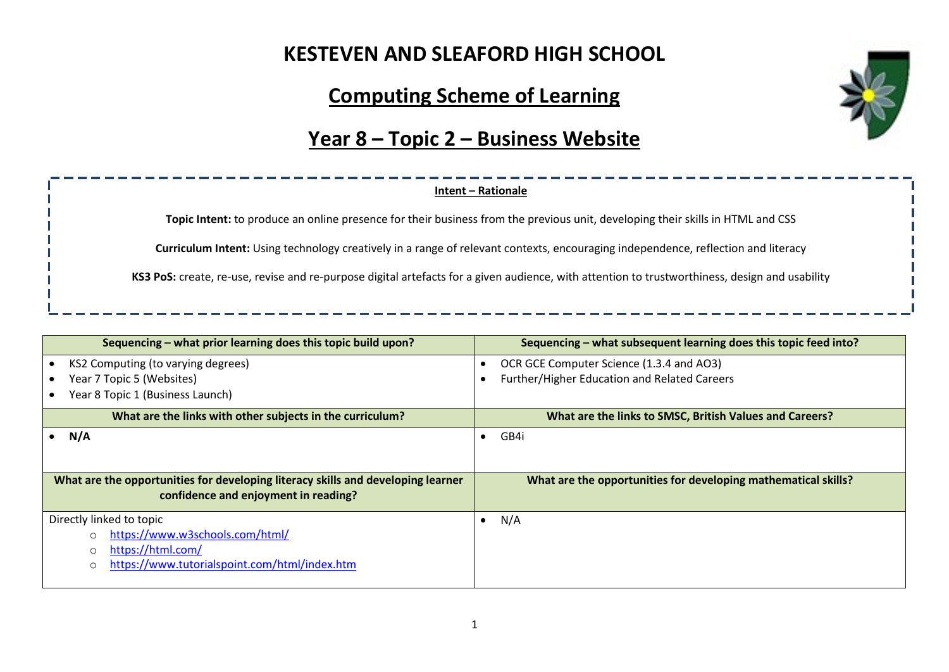#### **KESTEVEN AND SLEAFORD HIGH SCHOOL**

#### **Computing Scheme of Learning**

#### **Year 8 – Topic 2 – Business Website**

#### **Intent – Rationale**

**Topic Intent:** to produce an online presence for their business from the previous unit, developing their skills in HTML and CSS

**Curriculum Intent:** Using technology creatively in a range of relevant contexts, encouraging independence, reflection and literacy

**KS3 PoS:** create, re-use, revise and re-purpose digital artefacts for a given audience, with attention to trustworthiness, design and usability

| Sequencing – what prior learning does this topic build upon?                                                             | Sequencing – what subsequent learning does this topic feed into? |  |  |
|--------------------------------------------------------------------------------------------------------------------------|------------------------------------------------------------------|--|--|
| KS2 Computing (to varying degrees)                                                                                       | OCR GCE Computer Science (1.3.4 and AO3)                         |  |  |
| Year 7 Topic 5 (Websites)                                                                                                | Further/Higher Education and Related Careers                     |  |  |
| Year 8 Topic 1 (Business Launch)                                                                                         |                                                                  |  |  |
| What are the links with other subjects in the curriculum?                                                                | What are the links to SMSC, British Values and Careers?          |  |  |
| N/A                                                                                                                      | GB4i<br>$\bullet$                                                |  |  |
|                                                                                                                          |                                                                  |  |  |
| What are the opportunities for developing literacy skills and developing learner<br>confidence and enjoyment in reading? | What are the opportunities for developing mathematical skills?   |  |  |
| Directly linked to topic                                                                                                 | N/A<br>$\bullet$                                                 |  |  |
| https://www.w3schools.com/html/                                                                                          |                                                                  |  |  |
| https://html.com/<br>O                                                                                                   |                                                                  |  |  |
| https://www.tutorialspoint.com/html/index.htm<br>O                                                                       |                                                                  |  |  |
|                                                                                                                          |                                                                  |  |  |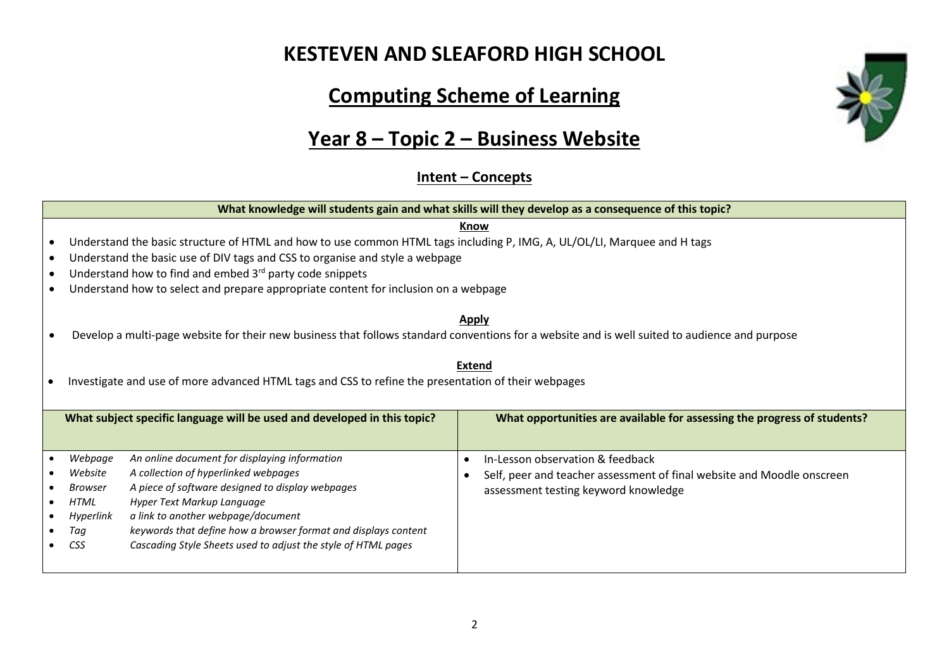#### **KESTEVEN AND SLEAFORD HIGH SCHOOL**

# **Computing Scheme of Learning**

# **Year 8 – Topic 2 – Business Website**

#### **Intent – Concepts**